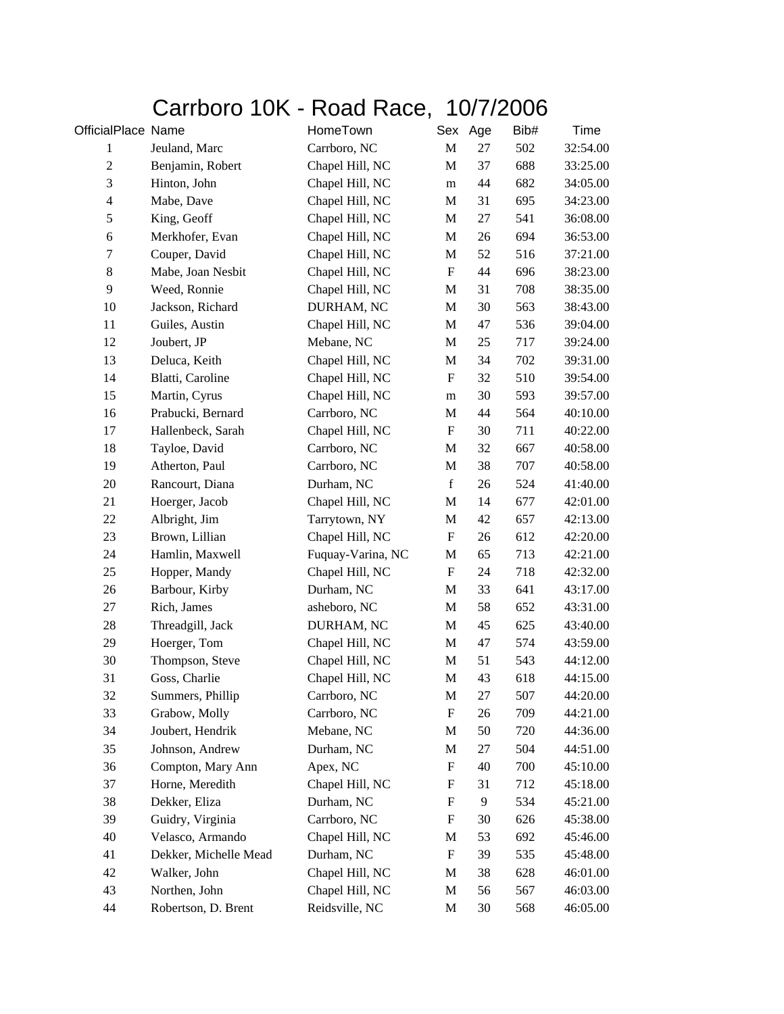## Carrboro 10K - Road Race, 10/7/2006

| OfficialPlace Name      |                       | HomeTown          | Sex                       | Age | Bib# | Time     |
|-------------------------|-----------------------|-------------------|---------------------------|-----|------|----------|
| $\mathbf{1}$            | Jeuland, Marc         | Carrboro, NC      | M                         | 27  | 502  | 32:54.00 |
| $\sqrt{2}$              | Benjamin, Robert      | Chapel Hill, NC   | M                         | 37  | 688  | 33:25.00 |
| 3                       | Hinton, John          | Chapel Hill, NC   | m                         | 44  | 682  | 34:05.00 |
| $\overline{\mathbf{4}}$ | Mabe, Dave            | Chapel Hill, NC   | M                         | 31  | 695  | 34:23.00 |
| 5                       | King, Geoff           | Chapel Hill, NC   | $\mathbf M$               | 27  | 541  | 36:08.00 |
| 6                       | Merkhofer, Evan       | Chapel Hill, NC   | M                         | 26  | 694  | 36:53.00 |
| 7                       | Couper, David         | Chapel Hill, NC   | M                         | 52  | 516  | 37:21.00 |
| $8\,$                   | Mabe, Joan Nesbit     | Chapel Hill, NC   | $\boldsymbol{\mathrm{F}}$ | 44  | 696  | 38:23.00 |
| 9                       | Weed, Ronnie          | Chapel Hill, NC   | M                         | 31  | 708  | 38:35.00 |
| 10                      | Jackson, Richard      | DURHAM, NC        | $\mathbf M$               | 30  | 563  | 38:43.00 |
| 11                      | Guiles, Austin        | Chapel Hill, NC   | M                         | 47  | 536  | 39:04.00 |
| 12                      | Joubert, JP           | Mebane, NC        | $\mathbf M$               | 25  | 717  | 39:24.00 |
| 13                      | Deluca, Keith         | Chapel Hill, NC   | M                         | 34  | 702  | 39:31.00 |
| 14                      | Blatti, Caroline      | Chapel Hill, NC   | $\boldsymbol{\mathrm{F}}$ | 32  | 510  | 39:54.00 |
| 15                      | Martin, Cyrus         | Chapel Hill, NC   | m                         | 30  | 593  | 39:57.00 |
| 16                      | Prabucki, Bernard     | Carrboro, NC      | M                         | 44  | 564  | 40:10.00 |
| 17                      | Hallenbeck, Sarah     | Chapel Hill, NC   | $\boldsymbol{\mathrm{F}}$ | 30  | 711  | 40:22.00 |
| 18                      | Tayloe, David         | Carrboro, NC      | M                         | 32  | 667  | 40:58.00 |
| 19                      | Atherton, Paul        | Carrboro, NC      | M                         | 38  | 707  | 40:58.00 |
| 20                      | Rancourt, Diana       | Durham, NC        | $\mathbf f$               | 26  | 524  | 41:40.00 |
| 21                      | Hoerger, Jacob        | Chapel Hill, NC   | M                         | 14  | 677  | 42:01.00 |
| 22                      | Albright, Jim         | Tarrytown, NY     | M                         | 42  | 657  | 42:13.00 |
| 23                      | Brown, Lillian        | Chapel Hill, NC   | $\boldsymbol{\mathrm{F}}$ | 26  | 612  | 42:20.00 |
| 24                      | Hamlin, Maxwell       | Fuquay-Varina, NC | M                         | 65  | 713  | 42:21.00 |
| 25                      | Hopper, Mandy         | Chapel Hill, NC   | ${\bf F}$                 | 24  | 718  | 42:32.00 |
| 26                      | Barbour, Kirby        | Durham, NC        | M                         | 33  | 641  | 43:17.00 |
| 27                      | Rich, James           | asheboro, NC      | M                         | 58  | 652  | 43:31.00 |
| 28                      | Threadgill, Jack      | DURHAM, NC        | M                         | 45  | 625  | 43:40.00 |
| 29                      | Hoerger, Tom          | Chapel Hill, NC   | M                         | 47  | 574  | 43:59.00 |
| 30                      | Thompson, Steve       | Chapel Hill, NC   | M                         | 51  | 543  | 44:12.00 |
| 31                      | Goss, Charlie         | Chapel Hill, NC   | $\mathbf M$               | 43  | 618  | 44:15.00 |
| 32                      | Summers, Phillip      | Carrboro, NC      | M                         | 27  | 507  | 44:20.00 |
| 33                      | Grabow, Molly         | Carrboro, NC      | F                         | 26  | 709  | 44:21.00 |
| 34                      | Joubert, Hendrik      | Mebane, NC        | M                         | 50  | 720  | 44:36.00 |
| 35                      | Johnson, Andrew       | Durham, NC        | M                         | 27  | 504  | 44:51.00 |
| 36                      | Compton, Mary Ann     | Apex, NC          | F                         | 40  | 700  | 45:10.00 |
| 37                      | Horne, Meredith       | Chapel Hill, NC   | F                         | 31  | 712  | 45:18.00 |
| 38                      | Dekker, Eliza         | Durham, NC        | $\boldsymbol{\mathrm{F}}$ | 9   | 534  | 45:21.00 |
| 39                      | Guidry, Virginia      | Carrboro, NC      | ${\bf F}$                 | 30  | 626  | 45:38.00 |
| 40                      | Velasco, Armando      | Chapel Hill, NC   | M                         | 53  | 692  | 45:46.00 |
| 41                      | Dekker, Michelle Mead | Durham, NC        | ${\bf F}$                 | 39  | 535  | 45:48.00 |
| 42                      | Walker, John          | Chapel Hill, NC   | M                         | 38  | 628  | 46:01.00 |
| 43                      | Northen, John         | Chapel Hill, NC   | M                         | 56  | 567  | 46:03.00 |
| 44                      | Robertson, D. Brent   | Reidsville, NC    | M                         | 30  | 568  | 46:05.00 |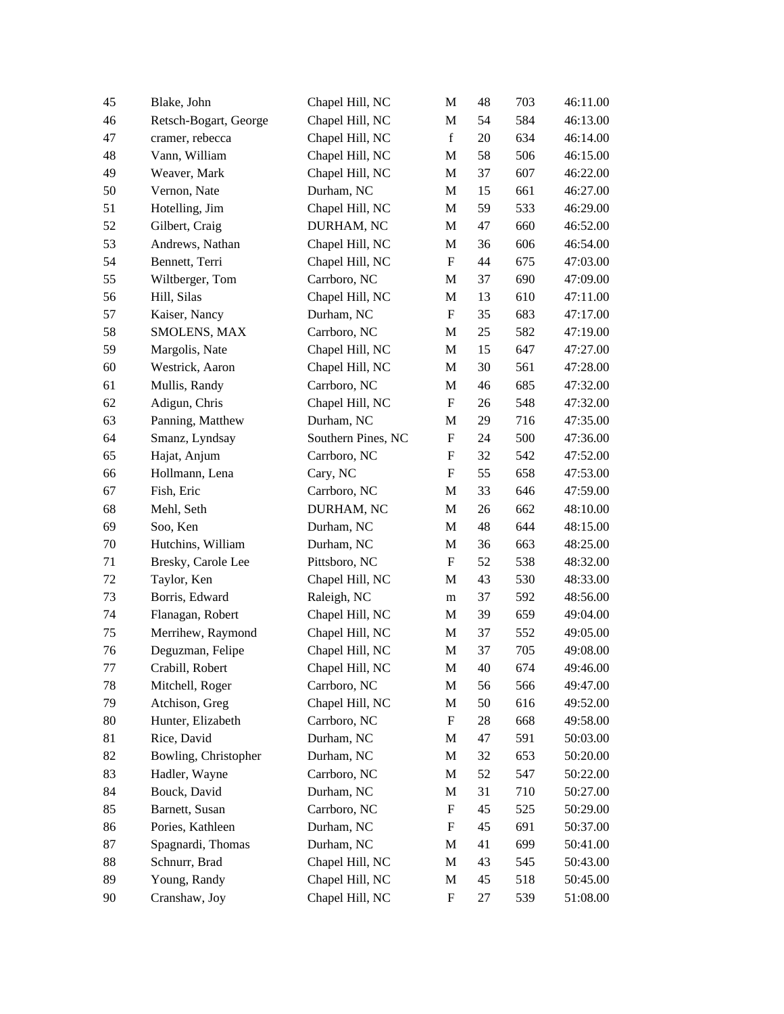| 45      | Blake, John           | Chapel Hill, NC    | M                         | 48 | 703 | 46:11.00 |
|---------|-----------------------|--------------------|---------------------------|----|-----|----------|
| 46      | Retsch-Bogart, George | Chapel Hill, NC    | M                         | 54 | 584 | 46:13.00 |
| 47      | cramer, rebecca       | Chapel Hill, NC    | $\mathbf f$               | 20 | 634 | 46:14.00 |
| 48      | Vann, William         | Chapel Hill, NC    | M                         | 58 | 506 | 46:15.00 |
| 49      | Weaver, Mark          | Chapel Hill, NC    | M                         | 37 | 607 | 46:22.00 |
| 50      | Vernon, Nate          | Durham, NC         | M                         | 15 | 661 | 46:27.00 |
| 51      | Hotelling, Jim        | Chapel Hill, NC    | M                         | 59 | 533 | 46:29.00 |
| 52      | Gilbert, Craig        | DURHAM, NC         | M                         | 47 | 660 | 46:52.00 |
| 53      | Andrews, Nathan       | Chapel Hill, NC    | M                         | 36 | 606 | 46:54.00 |
| 54      | Bennett, Terri        | Chapel Hill, NC    | ${\bf F}$                 | 44 | 675 | 47:03.00 |
| 55      | Wiltberger, Tom       | Carrboro, NC       | M                         | 37 | 690 | 47:09.00 |
| 56      | Hill, Silas           | Chapel Hill, NC    | M                         | 13 | 610 | 47:11.00 |
| 57      | Kaiser, Nancy         | Durham, NC         | $\boldsymbol{\mathrm{F}}$ | 35 | 683 | 47:17.00 |
| 58      | SMOLENS, MAX          | Carrboro, NC       | M                         | 25 | 582 | 47:19.00 |
| 59      | Margolis, Nate        | Chapel Hill, NC    | M                         | 15 | 647 | 47:27.00 |
| 60      | Westrick, Aaron       | Chapel Hill, NC    | M                         | 30 | 561 | 47:28.00 |
| 61      | Mullis, Randy         | Carrboro, NC       | M                         | 46 | 685 | 47:32.00 |
| 62      | Adigun, Chris         | Chapel Hill, NC    | $\boldsymbol{\mathrm{F}}$ | 26 | 548 | 47:32.00 |
| 63      | Panning, Matthew      | Durham, NC         | M                         | 29 | 716 | 47:35.00 |
| 64      | Smanz, Lyndsay        | Southern Pines, NC | $\boldsymbol{\mathrm{F}}$ | 24 | 500 | 47:36.00 |
| 65      | Hajat, Anjum          | Carrboro, NC       | F                         | 32 | 542 | 47:52.00 |
| 66      | Hollmann, Lena        | Cary, NC           | F                         | 55 | 658 | 47:53.00 |
| 67      | Fish, Eric            | Carrboro, NC       | M                         | 33 | 646 | 47:59.00 |
| 68      | Mehl, Seth            | DURHAM, NC         | M                         | 26 | 662 | 48:10.00 |
| 69      | Soo, Ken              | Durham, NC         | M                         | 48 | 644 | 48:15.00 |
| 70      | Hutchins, William     | Durham, NC         | M                         | 36 | 663 | 48:25.00 |
| 71      | Bresky, Carole Lee    | Pittsboro, NC      | $\boldsymbol{\mathrm{F}}$ | 52 | 538 | 48:32.00 |
| 72      | Taylor, Ken           | Chapel Hill, NC    | M                         | 43 | 530 | 48:33.00 |
| 73      | Borris, Edward        | Raleigh, NC        | m                         | 37 | 592 | 48:56.00 |
| 74      | Flanagan, Robert      | Chapel Hill, NC    | M                         | 39 | 659 | 49:04.00 |
| 75      | Merrihew, Raymond     | Chapel Hill, NC    | M                         | 37 | 552 | 49:05.00 |
| 76      | Deguzman, Felipe      | Chapel Hill, NC    | $\mathbf M$               | 37 | 705 | 49:08.00 |
| $77 \,$ | Crabill, Robert       | Chapel Hill, NC    | M                         | 40 | 674 | 49:46.00 |
| 78      | Mitchell, Roger       | Carrboro, NC       | M                         | 56 | 566 | 49:47.00 |
| 79      | Atchison, Greg        | Chapel Hill, NC    | M                         | 50 | 616 | 49:52.00 |
| 80      | Hunter, Elizabeth     | Carrboro, NC       | F                         | 28 | 668 | 49:58.00 |
| 81      | Rice, David           | Durham, NC         | M                         | 47 | 591 | 50:03.00 |
| 82      | Bowling, Christopher  | Durham, NC         | M                         | 32 | 653 | 50:20.00 |
| 83      | Hadler, Wayne         | Carrboro, NC       | M                         | 52 | 547 | 50:22.00 |
| 84      | Bouck, David          | Durham, NC         | M                         | 31 | 710 | 50:27.00 |
| 85      | Barnett, Susan        | Carrboro, NC       | F                         | 45 | 525 | 50:29.00 |
| 86      | Pories, Kathleen      | Durham, NC         | F                         | 45 | 691 | 50:37.00 |
| 87      | Spagnardi, Thomas     | Durham, NC         | M                         | 41 | 699 | 50:41.00 |
| 88      | Schnurr, Brad         | Chapel Hill, NC    | M                         | 43 | 545 | 50:43.00 |
| 89      | Young, Randy          | Chapel Hill, NC    | M                         | 45 | 518 | 50:45.00 |
| 90      | Cranshaw, Joy         | Chapel Hill, NC    | F                         | 27 | 539 | 51:08.00 |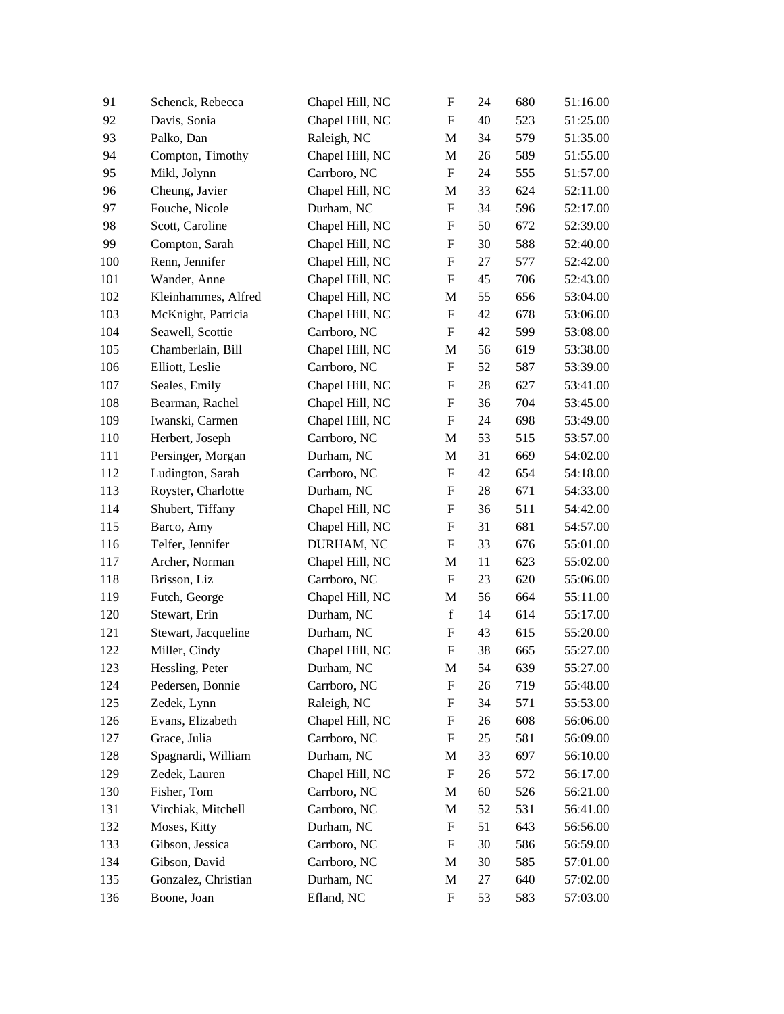| 91  | Schenck, Rebecca    | Chapel Hill, NC | ${\rm F}$                 | 24 | 680 | 51:16.00 |
|-----|---------------------|-----------------|---------------------------|----|-----|----------|
| 92  | Davis, Sonia        | Chapel Hill, NC | $\boldsymbol{\mathrm{F}}$ | 40 | 523 | 51:25.00 |
| 93  | Palko, Dan          | Raleigh, NC     | M                         | 34 | 579 | 51:35.00 |
| 94  | Compton, Timothy    | Chapel Hill, NC | M                         | 26 | 589 | 51:55.00 |
| 95  | Mikl, Jolynn        | Carrboro, NC    | $\boldsymbol{\mathrm{F}}$ | 24 | 555 | 51:57.00 |
| 96  | Cheung, Javier      | Chapel Hill, NC | M                         | 33 | 624 | 52:11.00 |
| 97  | Fouche, Nicole      | Durham, NC      | $\boldsymbol{\mathrm{F}}$ | 34 | 596 | 52:17.00 |
| 98  | Scott, Caroline     | Chapel Hill, NC | $\boldsymbol{\mathrm{F}}$ | 50 | 672 | 52:39.00 |
| 99  | Compton, Sarah      | Chapel Hill, NC | $\boldsymbol{\mathrm{F}}$ | 30 | 588 | 52:40.00 |
| 100 | Renn, Jennifer      | Chapel Hill, NC | $\boldsymbol{\mathrm{F}}$ | 27 | 577 | 52:42.00 |
| 101 | Wander, Anne        | Chapel Hill, NC | $\boldsymbol{\mathrm{F}}$ | 45 | 706 | 52:43.00 |
| 102 | Kleinhammes, Alfred | Chapel Hill, NC | M                         | 55 | 656 | 53:04.00 |
| 103 | McKnight, Patricia  | Chapel Hill, NC | ${\bf F}$                 | 42 | 678 | 53:06.00 |
| 104 | Seawell, Scottie    | Carrboro, NC    | $\boldsymbol{\mathrm{F}}$ | 42 | 599 | 53:08.00 |
| 105 | Chamberlain, Bill   | Chapel Hill, NC | M                         | 56 | 619 | 53:38.00 |
| 106 | Elliott, Leslie     | Carrboro, NC    | ${\rm F}$                 | 52 | 587 | 53:39.00 |
| 107 | Seales, Emily       | Chapel Hill, NC | $\boldsymbol{\mathrm{F}}$ | 28 | 627 | 53:41.00 |
| 108 | Bearman, Rachel     | Chapel Hill, NC | $\boldsymbol{\mathrm{F}}$ | 36 | 704 | 53:45.00 |
| 109 | Iwanski, Carmen     | Chapel Hill, NC | $\boldsymbol{\mathrm{F}}$ | 24 | 698 | 53:49.00 |
| 110 | Herbert, Joseph     | Carrboro, NC    | M                         | 53 | 515 | 53:57.00 |
| 111 | Persinger, Morgan   | Durham, NC      | M                         | 31 | 669 | 54:02.00 |
| 112 | Ludington, Sarah    | Carrboro, NC    | ${\rm F}$                 | 42 | 654 | 54:18.00 |
| 113 | Royster, Charlotte  | Durham, NC      | F                         | 28 | 671 | 54:33.00 |
| 114 | Shubert, Tiffany    | Chapel Hill, NC | $\boldsymbol{\mathrm{F}}$ | 36 | 511 | 54:42.00 |
| 115 | Barco, Amy          | Chapel Hill, NC | F                         | 31 | 681 | 54:57.00 |
| 116 | Telfer, Jennifer    | DURHAM, NC      | F                         | 33 | 676 | 55:01.00 |
| 117 | Archer, Norman      | Chapel Hill, NC | M                         | 11 | 623 | 55:02.00 |
| 118 | Brisson, Liz        | Carrboro, NC    | $\boldsymbol{\mathrm{F}}$ | 23 | 620 | 55:06.00 |
| 119 | Futch, George       | Chapel Hill, NC | M                         | 56 | 664 | 55:11.00 |
| 120 | Stewart, Erin       | Durham, NC      | $\mathbf f$               | 14 | 614 | 55:17.00 |
| 121 | Stewart, Jacqueline | Durham, NC      | $\boldsymbol{\mathrm{F}}$ | 43 | 615 | 55:20.00 |
| 122 | Miller, Cindy       | Chapel Hill, NC | ${\bf F}$                 | 38 | 665 | 55:27.00 |
| 123 | Hessling, Peter     | Durham, NC      | M                         | 54 | 639 | 55:27.00 |
| 124 | Pedersen, Bonnie    | Carrboro, NC    | F                         | 26 | 719 | 55:48.00 |
| 125 | Zedek, Lynn         | Raleigh, NC     | F                         | 34 | 571 | 55:53.00 |
| 126 | Evans, Elizabeth    | Chapel Hill, NC | F                         | 26 | 608 | 56:06.00 |
| 127 | Grace, Julia        | Carrboro, NC    | F                         | 25 | 581 | 56:09.00 |
| 128 | Spagnardi, William  | Durham, NC      | M                         | 33 | 697 | 56:10.00 |
| 129 | Zedek, Lauren       | Chapel Hill, NC | F                         | 26 | 572 | 56:17.00 |
| 130 | Fisher, Tom         | Carrboro, NC    | M                         | 60 | 526 | 56:21.00 |
| 131 | Virchiak, Mitchell  | Carrboro, NC    | M                         | 52 | 531 | 56:41.00 |
| 132 | Moses, Kitty        | Durham, NC      | F                         | 51 | 643 | 56:56.00 |
| 133 | Gibson, Jessica     | Carrboro, NC    | F                         | 30 | 586 | 56:59.00 |
| 134 | Gibson, David       | Carrboro, NC    | M                         | 30 | 585 | 57:01.00 |
| 135 | Gonzalez, Christian | Durham, NC      | M                         | 27 | 640 | 57:02.00 |
| 136 | Boone, Joan         | Efland, NC      | F                         | 53 | 583 | 57:03.00 |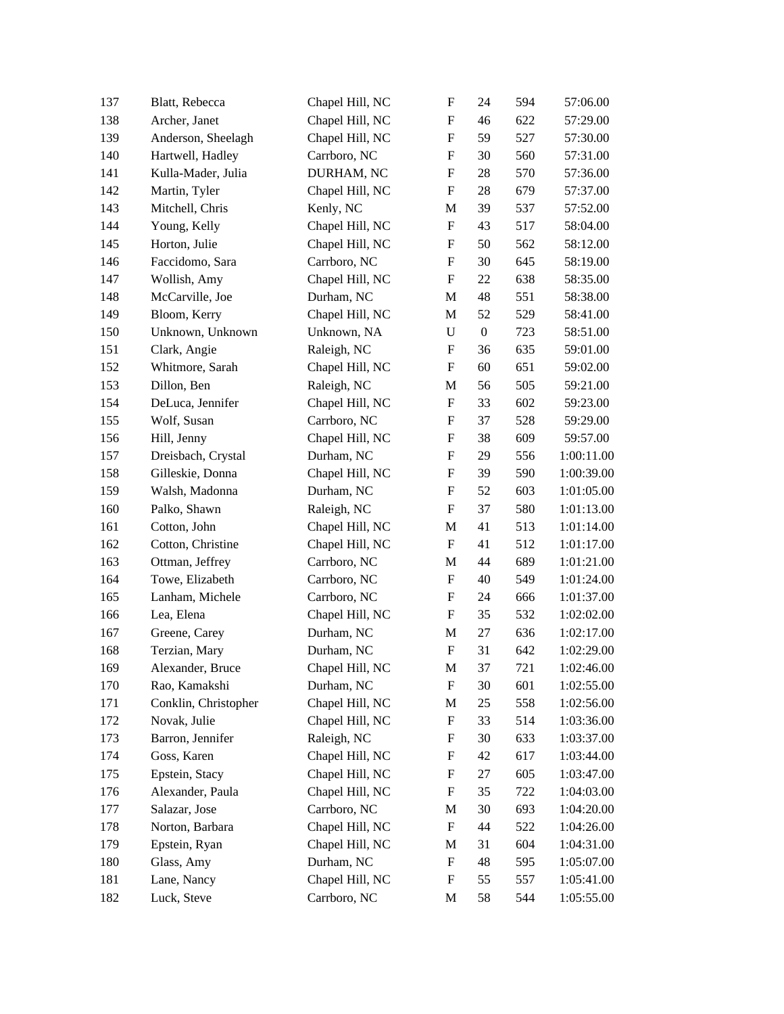| 137 | Blatt, Rebecca       | Chapel Hill, NC | F                         | 24               | 594 | 57:06.00   |
|-----|----------------------|-----------------|---------------------------|------------------|-----|------------|
| 138 | Archer, Janet        | Chapel Hill, NC | $\boldsymbol{\mathrm{F}}$ | 46               | 622 | 57:29.00   |
| 139 | Anderson, Sheelagh   | Chapel Hill, NC | $\boldsymbol{\mathrm{F}}$ | 59               | 527 | 57:30.00   |
| 140 | Hartwell, Hadley     | Carrboro, NC    | $\boldsymbol{\mathrm{F}}$ | 30               | 560 | 57:31.00   |
| 141 | Kulla-Mader, Julia   | DURHAM, NC      | $\boldsymbol{\mathrm{F}}$ | 28               | 570 | 57:36.00   |
| 142 | Martin, Tyler        | Chapel Hill, NC | F                         | 28               | 679 | 57:37.00   |
| 143 | Mitchell, Chris      | Kenly, NC       | M                         | 39               | 537 | 57:52.00   |
| 144 | Young, Kelly         | Chapel Hill, NC | F                         | 43               | 517 | 58:04.00   |
| 145 | Horton, Julie        | Chapel Hill, NC | $\boldsymbol{\mathrm{F}}$ | 50               | 562 | 58:12.00   |
| 146 | Faccidomo, Sara      | Carrboro, NC    | $\boldsymbol{\mathrm{F}}$ | 30               | 645 | 58:19.00   |
| 147 | Wollish, Amy         | Chapel Hill, NC | $\boldsymbol{\mathrm{F}}$ | 22               | 638 | 58:35.00   |
| 148 | McCarville, Joe      | Durham, NC      | M                         | 48               | 551 | 58:38.00   |
| 149 | Bloom, Kerry         | Chapel Hill, NC | M                         | 52               | 529 | 58:41.00   |
| 150 | Unknown, Unknown     | Unknown, NA     | U                         | $\boldsymbol{0}$ | 723 | 58:51.00   |
| 151 | Clark, Angie         | Raleigh, NC     | $\boldsymbol{\mathrm{F}}$ | 36               | 635 | 59:01.00   |
| 152 | Whitmore, Sarah      | Chapel Hill, NC | F                         | 60               | 651 | 59:02.00   |
| 153 | Dillon, Ben          | Raleigh, NC     | M                         | 56               | 505 | 59:21.00   |
| 154 | DeLuca, Jennifer     | Chapel Hill, NC | $\boldsymbol{\mathrm{F}}$ | 33               | 602 | 59:23.00   |
| 155 | Wolf, Susan          | Carrboro, NC    | $\boldsymbol{\mathrm{F}}$ | 37               | 528 | 59:29.00   |
| 156 | Hill, Jenny          | Chapel Hill, NC | $\boldsymbol{\mathrm{F}}$ | 38               | 609 | 59:57.00   |
| 157 | Dreisbach, Crystal   | Durham, NC      | $\boldsymbol{\mathrm{F}}$ | 29               | 556 | 1:00:11.00 |
| 158 | Gilleskie, Donna     | Chapel Hill, NC | $\boldsymbol{\mathrm{F}}$ | 39               | 590 | 1:00:39.00 |
| 159 | Walsh, Madonna       | Durham, NC      | F                         | 52               | 603 | 1:01:05.00 |
| 160 | Palko, Shawn         | Raleigh, NC     | $\boldsymbol{\mathrm{F}}$ | 37               | 580 | 1:01:13.00 |
| 161 | Cotton, John         | Chapel Hill, NC | M                         | 41               | 513 | 1:01:14.00 |
| 162 | Cotton, Christine    | Chapel Hill, NC | F                         | 41               | 512 | 1:01:17.00 |
| 163 | Ottman, Jeffrey      | Carrboro, NC    | M                         | 44               | 689 | 1:01:21.00 |
| 164 | Towe, Elizabeth      | Carrboro, NC    | F                         | 40               | 549 | 1:01:24.00 |
| 165 | Lanham, Michele      | Carrboro, NC    | $\boldsymbol{\mathrm{F}}$ | 24               | 666 | 1:01:37.00 |
| 166 | Lea, Elena           | Chapel Hill, NC | $\boldsymbol{\mathrm{F}}$ | 35               | 532 | 1:02:02.00 |
| 167 | Greene, Carey        | Durham, NC      | M                         | 27               | 636 | 1:02:17.00 |
| 168 | Terzian, Mary        | Durham, NC      | $\boldsymbol{\mathrm{F}}$ | 31               | 642 | 1:02:29.00 |
| 169 | Alexander, Bruce     | Chapel Hill, NC | M                         | 37               | 721 | 1:02:46.00 |
| 170 | Rao, Kamakshi        | Durham, NC      | F                         | 30               | 601 | 1:02:55.00 |
| 171 | Conklin, Christopher | Chapel Hill, NC | M                         | 25               | 558 | 1:02:56.00 |
| 172 | Novak, Julie         | Chapel Hill, NC | F                         | 33               | 514 | 1:03:36.00 |
| 173 | Barron, Jennifer     | Raleigh, NC     | F                         | 30               | 633 | 1:03:37.00 |
| 174 | Goss, Karen          | Chapel Hill, NC | F                         | 42               | 617 | 1:03:44.00 |
| 175 | Epstein, Stacy       | Chapel Hill, NC | F                         | 27               | 605 | 1:03:47.00 |
| 176 | Alexander, Paula     | Chapel Hill, NC | F                         | 35               | 722 | 1:04:03.00 |
| 177 | Salazar, Jose        | Carrboro, NC    | M                         | 30               | 693 | 1:04:20.00 |
| 178 | Norton, Barbara      | Chapel Hill, NC | F                         | 44               | 522 | 1:04:26.00 |
| 179 | Epstein, Ryan        | Chapel Hill, NC | M                         | 31               | 604 | 1:04:31.00 |
| 180 | Glass, Amy           | Durham, NC      | $\boldsymbol{\mathrm{F}}$ | 48               | 595 | 1:05:07.00 |
| 181 | Lane, Nancy          | Chapel Hill, NC | F                         | 55               | 557 | 1:05:41.00 |
| 182 | Luck, Steve          | Carrboro, NC    | M                         | 58               | 544 | 1:05:55.00 |